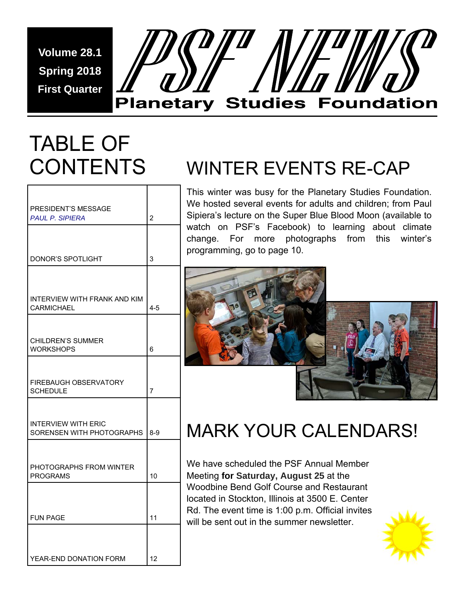**Volume 28.1 Spring 2018 First Quarter** 



# TABLE OF **CONTENTS**

Г

| PRESIDENT'S MESSAGE                                     |                |  |  |  |
|---------------------------------------------------------|----------------|--|--|--|
| <b>PAUL P. SIPIERA</b>                                  | $\overline{2}$ |  |  |  |
|                                                         |                |  |  |  |
| <b>DONOR'S SPOTLIGHT</b>                                | 3              |  |  |  |
|                                                         |                |  |  |  |
| INTERVIEW WITH FRANK AND KIM<br><b>CARMICHAEL</b>       | $4 - 5$        |  |  |  |
|                                                         |                |  |  |  |
| <b>CHILDREN'S SUMMER</b><br><b>WORKSHOPS</b>            | 6              |  |  |  |
|                                                         |                |  |  |  |
| <b>FIREBAUGH OBSERVATORY</b><br><b>SCHEDULE</b>         | 7              |  |  |  |
|                                                         |                |  |  |  |
| <b>INTERVIEW WITH ERIC</b><br>SORENSEN WITH PHOTOGRAPHS | $8-9$          |  |  |  |
|                                                         |                |  |  |  |
| PHOTOGRAPHS FROM WINTER<br><b>PROGRAMS</b>              | 10             |  |  |  |
|                                                         |                |  |  |  |
|                                                         |                |  |  |  |
| <b>FUN PAGE</b>                                         | 11             |  |  |  |
|                                                         |                |  |  |  |
| YEAR-END DONATION FORM                                  | 12             |  |  |  |

## WINTER EVENTS RE-CAP

This winter was busy for the Planetary Studies Foundation. We hosted several events for adults and children; from Paul Sipiera's lecture on the Super Blue Blood Moon (available to watch on PSF's Facebook) to learning about climate change. For more photographs from this winter's programming, go to page 10.



## MARK YOUR CALENDARS!

We have scheduled the PSF Annual Member Meeting **for Saturday, August 25** at the Woodbine Bend Golf Course and Restaurant located in Stockton, Illinois at 3500 E. Center Rd. The event time is 1:00 p.m. Official invites will be sent out in the summer newsletter.

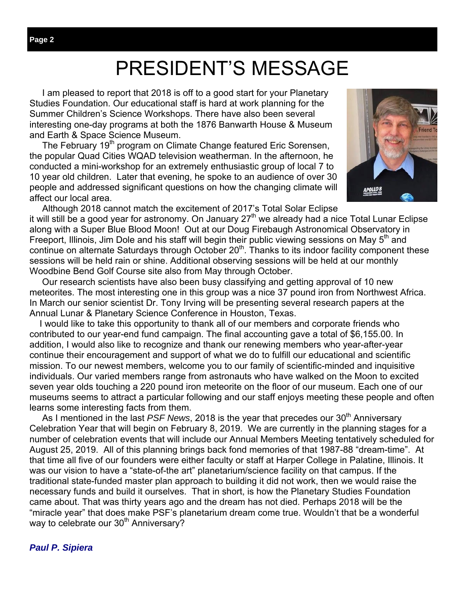## PRESIDENT'S MESSAGE

 I am pleased to report that 2018 is off to a good start for your Planetary Studies Foundation. Our educational staff is hard at work planning for the Summer Children's Science Workshops. There have also been several interesting one-day programs at both the 1876 Banwarth House & Museum and Earth & Space Science Museum.

The February 19<sup>th</sup> program on Climate Change featured Eric Sorensen, the popular Quad Cities WQAD television weatherman. In the afternoon, he conducted a mini-workshop for an extremely enthusiastic group of local 7 to 10 year old children. Later that evening, he spoke to an audience of over 30 people and addressed significant questions on how the changing climate will affect our local area.



 Although 2018 cannot match the excitement of 2017's Total Solar Eclipse it will still be a good year for astronomy. On January  $27<sup>th</sup>$  we already had a nice Total Lunar Eclipse along with a Super Blue Blood Moon! Out at our Doug Firebaugh Astronomical Observatory in Freeport, Illinois, Jim Dole and his staff will begin their public viewing sessions on May  $5<sup>th</sup>$  and continue on alternate Saturdays through October  $20<sup>th</sup>$ . Thanks to its indoor facility component these sessions will be held rain or shine. Additional observing sessions will be held at our monthly Woodbine Bend Golf Course site also from May through October.

 Our research scientists have also been busy classifying and getting approval of 10 new meteorites. The most interesting one in this group was a nice 37 pound iron from Northwest Africa. In March our senior scientist Dr. Tony Irving will be presenting several research papers at the Annual Lunar & Planetary Science Conference in Houston, Texas.

 I would like to take this opportunity to thank all of our members and corporate friends who contributed to our year-end fund campaign. The final accounting gave a total of \$6,155.00. In addition, I would also like to recognize and thank our renewing members who year-after-year continue their encouragement and support of what we do to fulfill our educational and scientific mission. To our newest members, welcome you to our family of scientific-minded and inquisitive individuals. Our varied members range from astronauts who have walked on the Moon to excited seven year olds touching a 220 pound iron meteorite on the floor of our museum. Each one of our museums seems to attract a particular following and our staff enjoys meeting these people and often learns some interesting facts from them.

As I mentioned in the last *PSF News*, 2018 is the year that precedes our 30<sup>th</sup> Anniversary Celebration Year that will begin on February 8, 2019. We are currently in the planning stages for a number of celebration events that will include our Annual Members Meeting tentatively scheduled for August 25, 2019. All of this planning brings back fond memories of that 1987-88 "dream-time". At that time all five of our founders were either faculty or staff at Harper College in Palatine, Illinois. It was our vision to have a "state-of-the art" planetarium/science facility on that campus. If the traditional state-funded master plan approach to building it did not work, then we would raise the necessary funds and build it ourselves. That in short, is how the Planetary Studies Foundation came about. That was thirty years ago and the dream has not died. Perhaps 2018 will be the "miracle year" that does make PSF's planetarium dream come true. Wouldn't that be a wonderful way to celebrate our 30<sup>th</sup> Anniversary?

#### *Paul P. Sipiera*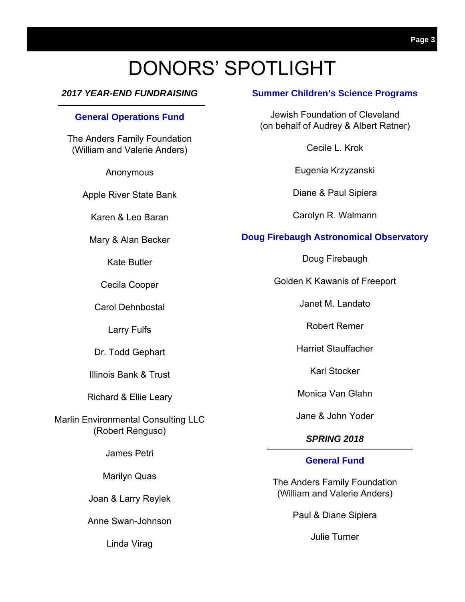## DONORS' SPOTLIGHT

### *2017 YEAR-END FUNDRAISING*

#### **General Operations Fund**

The Anders Family Foundation (William and Valerie Anders)

Anonymous

Apple River State Bank

Karen & Leo Baran

Mary & Alan Becker

Kate Butler

Cecila Cooper

Carol Dehnbostal

Larry Fulfs

Dr. Todd Gephart

Illinois Bank & Trust

Richard & Ellie Leary

Marlin Environmental Consulting LLC (Robert Renguso)

James Petri

Marilyn Quas

Joan & Larry Reylek

Anne Swan-Johnson

Linda Virag

### **Summer Children's Science Programs**

Jewish Foundation of Cleveland (on behalf of Audrey & Albert Ratner)

Cecile L. Krok

Eugenia Krzyzanski

Diane & Paul Sipiera

Carolyn R. Walmann

#### **Doug Firebaugh Astronomical Observatory**

Doug Firebaugh

Golden K Kawanis of Freeport

Janet M. Landato

Robert Remer

Harriet Stauffacher

Karl Stocker

Monica Van Glahn

Jane & John Yoder

### *SPRING 2018*

#### **General Fund**

The Anders Family Foundation (William and Valerie Anders)

Paul & Diane Sipiera

Julie Turner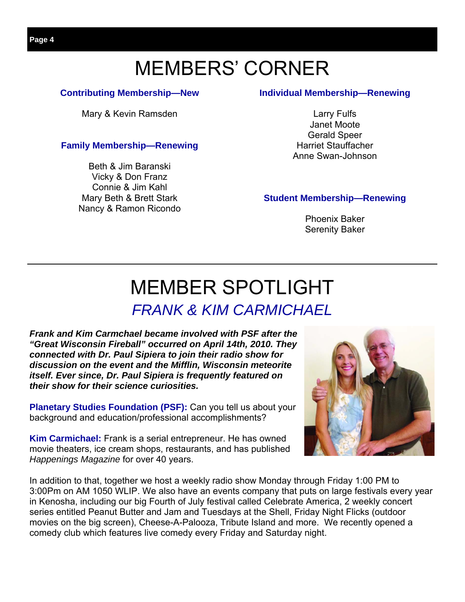## MEMBERS' CORNER

### **Contributing Membership—New**

Mary & Kevin Ramsden

### **Family Membership—Renewing**

Beth & Jim Baranski Vicky & Don Franz Connie & Jim Kahl Mary Beth & Brett Stark Nancy & Ramon Ricondo

### **Individual Membership—Renewing**

Larry Fulfs Janet Moote Gerald Speer Harriet Stauffacher Anne Swan-Johnson

### **Student Membership—Renewing**

Phoenix Baker Serenity Baker

# MEMBER SPOTLIGHT

### *FRANK & KIM CARMICHAEL*

*Frank and Kim Carmchael became involved with PSF after the "Great Wisconsin Fireball" occurred on April 14th, 2010. They connected with Dr. Paul Sipiera to join their radio show for discussion on the event and the Mifflin, Wisconsin meteorite itself. Ever since, Dr. Paul Sipiera is frequently featured on their show for their science curiosities.* 

**Planetary Studies Foundation (PSF):** Can you tell us about your background and education/professional accomplishments?

**Kim Carmichael:** Frank is a serial entrepreneur. He has owned movie theaters, ice cream shops, restaurants, and has published *Happenings Magazine* for over 40 years.

In addition to that, together we host a weekly radio show Monday through Friday 1:00 PM to 3:00Pm on AM 1050 WLIP. We also have an events company that puts on large festivals every year in Kenosha, including our big Fourth of July festival called Celebrate America, 2 weekly concert series entitled Peanut Butter and Jam and Tuesdays at the Shell, Friday Night Flicks (outdoor movies on the big screen), Cheese-A-Palooza, Tribute Island and more. We recently opened a comedy club which features live comedy every Friday and Saturday night.

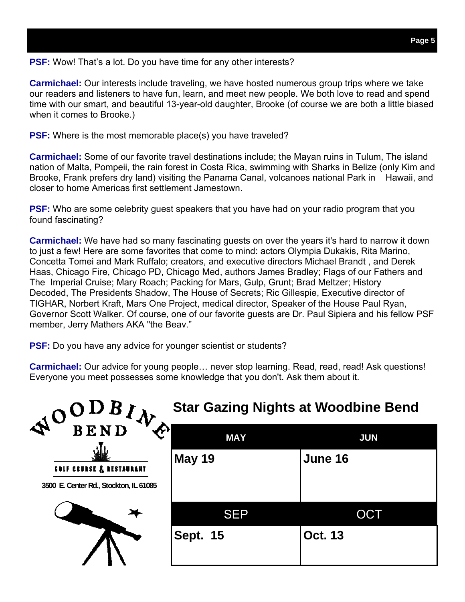**PSF:** Wow! That's a lot. Do you have time for any other interests?

**Carmichael:** Our interests include traveling, we have hosted numerous group trips where we take our readers and listeners to have fun, learn, and meet new people. We both love to read and spend time with our smart, and beautiful 13-year-old daughter, Brooke (of course we are both a little biased when it comes to Brooke.)

**PSF:** Where is the most memorable place(s) you have traveled?

**Carmichael:** Some of our favorite travel destinations include; the Mayan ruins in Tulum, The island nation of Malta, Pompeii, the rain forest in Costa Rica, swimming with Sharks in Belize (only Kim and Brooke, Frank prefers dry land) visiting the Panama Canal, volcanoes national Park in Hawaii, and closer to home Americas first settlement Jamestown.

**PSF:** Who are some celebrity guest speakers that you have had on your radio program that you found fascinating?

**Carmichael:** We have had so many fascinating guests on over the years it's hard to narrow it down to just a few! Here are some favorites that come to mind: actors Olympia Dukakis, Rita Marino, Concetta Tomei and Mark Ruffalo; creators, and executive directors Michael Brandt , and Derek Haas, Chicago Fire, Chicago PD, Chicago Med, authors James Bradley; Flags of our Fathers and The Imperial Cruise; Mary Roach; Packing for Mars, Gulp, Grunt; Brad Meltzer; History Decoded, The Presidents Shadow, The House of Secrets; Ric Gillespie, Executive director of TIGHAR, Norbert Kraft, Mars One Project, medical director, Speaker of the House Paul Ryan, Governor Scott Walker. Of course, one of our favorite guests are Dr. Paul Sipiera and his fellow PSF member, Jerry Mathers AKA "the Beav."

**PSF:** Do you have any advice for younger scientist or students?

**Carmichael:** Our advice for young people… never stop learning. Read, read, read! Ask questions! Everyone you meet possesses some knowledge that you don't. Ask them about it.

| NOODBIN                                | <b>Star Gazing Nights at Woodbine Bend</b> |                |  |  |  |  |
|----------------------------------------|--------------------------------------------|----------------|--|--|--|--|
| À                                      | <b>MAY</b>                                 | <b>JUN</b>     |  |  |  |  |
| <b>EDLF CEURSE &amp; RESTAURANT</b>    | <b>May 19</b>                              | June 16        |  |  |  |  |
| 3500 E. Center Rd., Stockton, IL 61085 |                                            |                |  |  |  |  |
|                                        | <b>SEP</b>                                 | OCT            |  |  |  |  |
|                                        | <b>Sept. 15</b>                            | <b>Oct. 13</b> |  |  |  |  |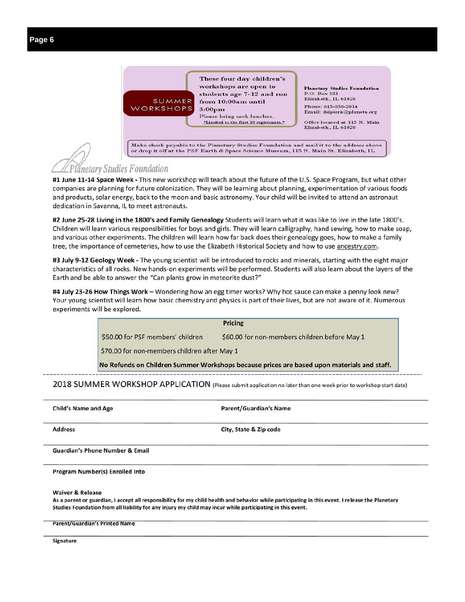

**Planetary Studies Foundation** P.O. Box 331 Elizabeth, IL 61028 Phone: 815-858-2014 Email: dsipiera@planets.org

Office located at 115 N. Main Elizabeth, IL 61028

Make check payable to the Planetary Studies Foundation and mail it to the address above or drop it off at the PSF Earth & Space Science Museum, 115 N. Main St. Elizabeth, IL

### Planetary Studies Foundation

#1 June 11-14 Space Week - This new workshop will teach about the future of the U.S. Space Program, but what other companies are planning for future colonization. They will be learning about planning, experimentation of various foods and products, solar energy, back to the moon and basic astronomy. Your child will be invited to attend an astronaut dedication in Savanna, IL to meet astronauts.

#2 June 25-28 Living in the 1800's and Family Genealogy Students will learn what it was like to live in the late 1800's. Children will learn various responsibilities for boys and girls. They will learn calligraphy, hand sewing, how to make soap, and various other experiments. The children will learn how far back does their genealogy goes, how to make a family tree, the importance of cemeteries, how to use the Elizabeth Historical Society and how to use ancestry.com.

#3 July 9-12 Geology Week - The young scientist will be introduced to rocks and minerals, starting with the eight major characteristics of all rocks. New hands-on experiments will be performed. Students will also learn about the layers of the Earth and be able to answer the "Can plants grow in meteorite dust?"

#4 July 23-26 How Things Work - Wondering how an egg timer works? Why hot sauce can make a penny look new? Your young scientist will learn how basic chemistry and physics is part of their lives, but are not aware of it. Numerous experiments will be explored.

|                                              | <b>Pricing</b>                                                                             |
|----------------------------------------------|--------------------------------------------------------------------------------------------|
| \$50.00 for PSF members' children            | \$60.00 for non-members children before May 1                                              |
| \$70.00 for non-members children after May 1 |                                                                                            |
|                                              | No Refunds on Children Summer Workshops because prices are based upon materials and staff. |

2018 SUMMER WORKSHOP APPLICATION (Please submit application no later than one week prior to workshop start date)

**Child's Name and Age** Parent/Guardian's Name **Address** City, State & Zip code **Guardian's Phone Number & Email** 

Program Number(s) Enrolled Into

**Waiver & Release** 

As a parent or guardian, I accept all responsibility for my child health and behavior while participating in this event. I release the Planetary Studies Foundation from all liability for any injury my child may incur while participating in this event.

**Parent/Guardian's Printed Name** 

Signature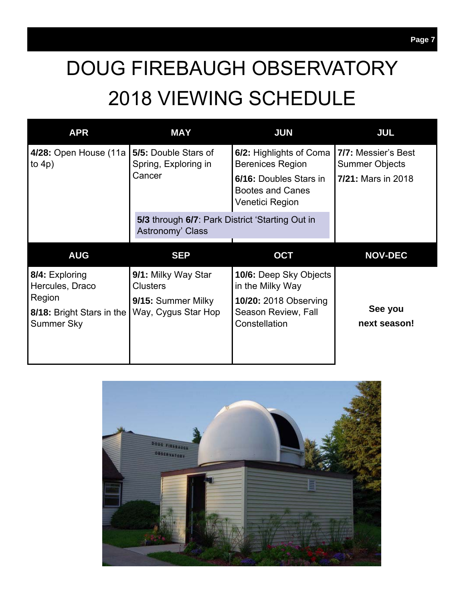# DOUG FIREBAUGH OBSERVATORY 2018 VIEWING SCHEDULE

| <b>APR</b>                                        | <b>MAY</b>                                                          | <b>JUN</b>                                                           | <b>JUL</b>                                   |  |
|---------------------------------------------------|---------------------------------------------------------------------|----------------------------------------------------------------------|----------------------------------------------|--|
| 4/28: Open House (11a<br>to $4p$ )                | 5/5: Double Stars of<br>Spring, Exploring in                        | 6/2: Highlights of Coma<br><b>Berenices Region</b>                   | 7/7: Messier's Best<br><b>Summer Objects</b> |  |
|                                                   | Cancer                                                              | 6/16: Doubles Stars in<br><b>Bootes and Canes</b><br>Venetici Region | <b>7/21: Mars in 2018</b>                    |  |
|                                                   | 5/3 through 6/7: Park District 'Starting Out in<br>Astronomy' Class |                                                                      |                                              |  |
|                                                   |                                                                     |                                                                      |                                              |  |
| <b>AUG</b>                                        | <b>SEP</b>                                                          | <b>OCT</b>                                                           | <b>NOV-DEC</b>                               |  |
| 8/4: Exploring<br>Hercules, Draco                 | 9/1: Milky Way Star<br><b>Clusters</b>                              | <b>10/6:</b> Deep Sky Objects<br>in the Milky Way                    |                                              |  |
| Region<br>8/18: Bright Stars in the<br>Summer Sky | 9/15: Summer Milky<br>Way, Cygus Star Hop                           | <b>10/20: 2018 Observing</b><br>Season Review, Fall<br>Constellation | See you<br>next season!                      |  |

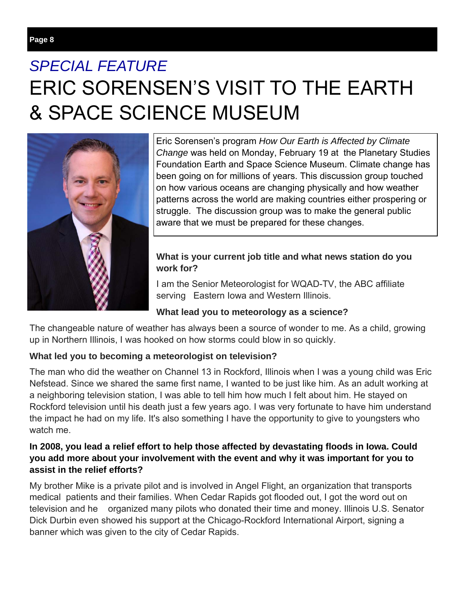## *SPECIAL FEATURE*  ERIC SORENSEN'S VISIT TO THE EARTH & SPACE SCIENCE MUSEUM



Eric Sorensen's program *How Our Earth is Affected by Climate Change* was held on Monday, February 19 at the Planetary Studies Foundation Earth and Space Science Museum. Climate change has been going on for millions of years. This discussion group touched on how various oceans are changing physically and how weather patterns across the world are making countries either prospering or struggle. The discussion group was to make the general public aware that we must be prepared for these changes.

### **What is your current job title and what news station do you work for?**

I am the Senior Meteorologist for WQAD-TV, the ABC affiliate serving Eastern Iowa and Western Illinois.

### **What lead you to meteorology as a science?**

The changeable nature of weather has always been a source of wonder to me. As a child, growing up in Northern Illinois, I was hooked on how storms could blow in so quickly.

### **What led you to becoming a meteorologist on television?**

The man who did the weather on Channel 13 in Rockford, Illinois when I was a young child was Eric Nefstead. Since we shared the same first name, I wanted to be just like him. As an adult working at a neighboring television station, I was able to tell him how much I felt about him. He stayed on Rockford television until his death just a few years ago. I was very fortunate to have him understand the impact he had on my life. It's also something I have the opportunity to give to youngsters who watch me.

### **In 2008, you lead a relief effort to help those affected by devastating floods in Iowa. Could you add more about your involvement with the event and why it was important for you to assist in the relief efforts?**

My brother Mike is a private pilot and is involved in Angel Flight, an organization that transports medical patients and their families. When Cedar Rapids got flooded out, I got the word out on television and he organized many pilots who donated their time and money. Illinois U.S. Senator Dick Durbin even showed his support at the Chicago-Rockford International Airport, signing a banner which was given to the city of Cedar Rapids.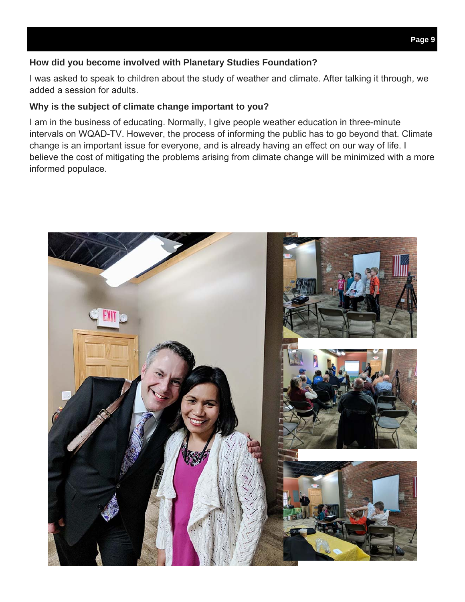### **How did you become involved with Planetary Studies Foundation?**

I was asked to speak to children about the study of weather and climate. After talking it through, we added a session for adults.

### **Why is the subject of climate change important to you?**

I am in the business of educating. Normally, I give people weather education in three-minute intervals on WQAD-TV. However, the process of informing the public has to go beyond that. Climate change is an important issue for everyone, and is already having an effect on our way of life. I believe the cost of mitigating the problems arising from climate change will be minimized with a more informed populace.

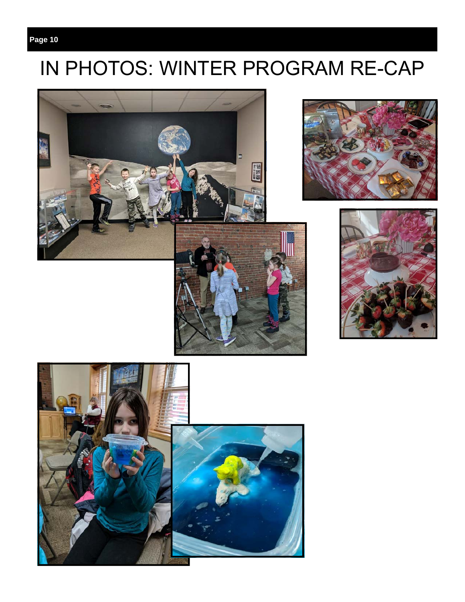## IN PHOTOS: WINTER PROGRAM RE-CAP







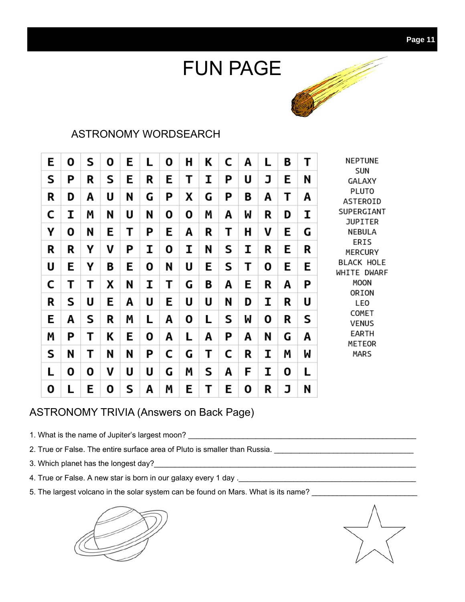# FUN PAGE



### ASTRONOMY WORDSEARCH

| E | Ο | S | Ο | E | L | 0 | Η | Κ | C | Α | L | В | Т | NEPTUNE                          |
|---|---|---|---|---|---|---|---|---|---|---|---|---|---|----------------------------------|
| S | Ρ | R | S | E | R | Ε | Т | I | P | U | J | Ε | N | <b>SUN</b><br>GALAXY             |
| R | D | Α | U | N | G | Ρ | χ | G | P | Β | Α | Τ | Α | <b>PLUTO</b><br>ASTEROID         |
| C | I | M | N | U | N | 0 | 0 | Μ | Α | M | R | D | I | SUPERGIANT<br><b>JUPITER</b>     |
| Υ | 0 | N | Е | Т | P | Ε | Α | R | Т | H | V | Ε | G | NEBULA                           |
| R | R | Υ | V | Ρ | I | 0 | Ι | N | S | I | R | Е | R | ERIS<br>MERCURY                  |
| U | E | γ | В | E | 0 | N | U | E | S | Т | 0 | E | Е | <b>BLACK HOLE</b><br>WHITE DWARF |
| C | Τ | Τ | X | N | I | Т | G | B | Α | Е | R | A | P | MOON                             |
| R | S | U | Ε | Α | U | Ε | U | U | N | D | I | R | U | ORION<br>LEO                     |
| E | Α | S | R | M | L | Α | 0 | L | S | M | 0 | R | S | COMET<br><b>VENUS</b>            |
| Μ | P | Т | Κ | Ε | 0 | Α | L | Α | P | Α | N | G | А | EARTH<br>METEOR                  |
| S | N | Т | N | N | P | C | G | Τ | C | R | I | M | W | <b>MARS</b>                      |
| L | 0 | 0 | V | U | U | G | Μ | S | Α | F | I | 0 | L |                                  |
| 0 | L | Ε | 0 | S | Α | Μ | E | Τ | E | 0 | R | J | N |                                  |

### ASTRONOMY TRIVIA (Answers on Back Page)

- 1. What is the name of Jupiter's largest moon? \_\_\_\_\_\_\_\_\_\_\_\_\_\_\_\_\_\_\_\_\_\_\_\_\_\_\_\_\_\_\_\_\_\_\_\_\_\_\_\_\_\_\_\_\_\_\_\_\_\_\_\_\_\_
- 2. True or False. The entire surface area of Pluto is smaller than Russia. \_\_\_\_\_\_\_\_\_\_\_\_\_\_\_\_\_\_\_\_\_\_\_\_\_\_\_\_\_\_\_\_\_\_\_
- 3. Which planet has the longest day?\_\_\_\_\_\_\_\_\_\_\_\_\_\_\_\_\_\_\_\_\_\_\_\_\_\_\_\_\_\_\_\_\_\_\_\_\_\_\_\_\_\_\_\_\_\_\_\_\_\_\_\_\_\_\_\_\_\_\_\_\_\_
- 4. True or False. A new star is born in our galaxy every 1 day .\_\_\_\_\_\_\_\_\_\_\_\_\_\_\_\_\_\_\_\_\_\_\_\_\_\_\_\_\_\_\_\_\_\_\_\_\_\_\_\_\_\_
- 5. The largest volcano in the solar system can be found on Mars. What is its name? \_\_\_\_\_\_\_\_\_\_\_\_\_\_\_\_\_\_\_\_\_\_\_\_\_\_\_